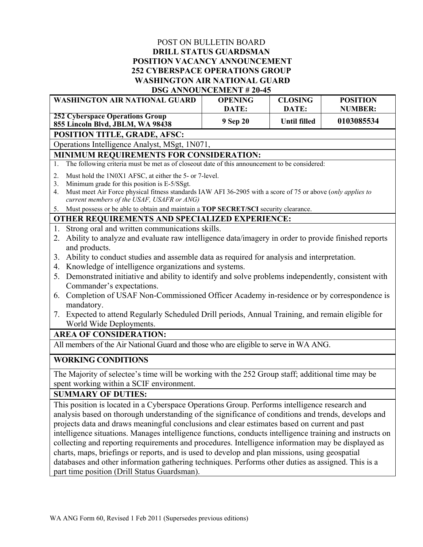## POST ON BULLETIN BOARD **DRILL STATUS GUARDSMAN POSITION VACANCY ANNOUNCEMENT 252 CYBERSPACE OPERATIONS GROUP WASHINGTON AIR NATIONAL GUARD DSG ANNOUNCEMENT # 20-45**

| <b>WASHINGTON AIR NATIONAL GUARD</b>                                                                                                         |                                                                                                                                                                                                                                                                     | <b>OPENING</b>    | <b>CLOSING</b>               | <b>POSITION</b>              |
|----------------------------------------------------------------------------------------------------------------------------------------------|---------------------------------------------------------------------------------------------------------------------------------------------------------------------------------------------------------------------------------------------------------------------|-------------------|------------------------------|------------------------------|
| <b>252 Cyberspace Operations Group</b><br>855 Lincoln Blvd, JBLM, WA 98438                                                                   |                                                                                                                                                                                                                                                                     | DATE:<br>9 Sep 20 | DATE:<br><b>Until filled</b> | <b>NUMBER:</b><br>0103085534 |
| POSITION TITLE, GRADE, AFSC:                                                                                                                 |                                                                                                                                                                                                                                                                     |                   |                              |                              |
| Operations Intelligence Analyst, MSgt, 1N071,                                                                                                |                                                                                                                                                                                                                                                                     |                   |                              |                              |
| MINIMUM REQUIREMENTS FOR CONSIDERATION:                                                                                                      |                                                                                                                                                                                                                                                                     |                   |                              |                              |
| 1.                                                                                                                                           | The following criteria must be met as of closeout date of this announcement to be considered:                                                                                                                                                                       |                   |                              |                              |
| 2.<br>3.<br>4.                                                                                                                               | Must hold the 1N0X1 AFSC, at either the 5- or 7-level.<br>Minimum grade for this position is E-5/SSgt.<br>Must meet Air Force physical fitness standards IAW AFI 36-2905 with a score of 75 or above (only applies to<br>current members of the USAF, USAFR or ANG) |                   |                              |                              |
| 5. Must possess or be able to obtain and maintain a TOP SECRET/SCI security clearance.                                                       |                                                                                                                                                                                                                                                                     |                   |                              |                              |
| OTHER REQUIREMENTS AND SPECIALIZED EXPERIENCE:                                                                                               |                                                                                                                                                                                                                                                                     |                   |                              |                              |
| 1.<br>2.                                                                                                                                     | Strong oral and written communications skills.<br>Ability to analyze and evaluate raw intelligence data/imagery in order to provide finished reports<br>and products.                                                                                               |                   |                              |                              |
| 3.                                                                                                                                           | Ability to conduct studies and assemble data as required for analysis and interpretation.                                                                                                                                                                           |                   |                              |                              |
| 4.                                                                                                                                           | Knowledge of intelligence organizations and systems.                                                                                                                                                                                                                |                   |                              |                              |
|                                                                                                                                              | 5. Demonstrated initiative and ability to identify and solve problems independently, consistent with<br>Commander's expectations.                                                                                                                                   |                   |                              |                              |
| 6.                                                                                                                                           | Completion of USAF Non-Commissioned Officer Academy in-residence or by correspondence is                                                                                                                                                                            |                   |                              |                              |
|                                                                                                                                              | mandatory.                                                                                                                                                                                                                                                          |                   |                              |                              |
|                                                                                                                                              | 7. Expected to attend Regularly Scheduled Drill periods, Annual Training, and remain eligible for                                                                                                                                                                   |                   |                              |                              |
| World Wide Deployments.                                                                                                                      |                                                                                                                                                                                                                                                                     |                   |                              |                              |
| <b>AREA OF CONSIDERATION:</b>                                                                                                                |                                                                                                                                                                                                                                                                     |                   |                              |                              |
| All members of the Air National Guard and those who are eligible to serve in WA ANG.                                                         |                                                                                                                                                                                                                                                                     |                   |                              |                              |
| <b>WORKING CONDITIONS</b>                                                                                                                    |                                                                                                                                                                                                                                                                     |                   |                              |                              |
| The Majority of selectee's time will be working with the 252 Group staff; additional time may be<br>spent working within a SCIF environment. |                                                                                                                                                                                                                                                                     |                   |                              |                              |
| <b>SUMMARY OF DUTIES:</b>                                                                                                                    |                                                                                                                                                                                                                                                                     |                   |                              |                              |

This position is located in a Cyberspace Operations Group. Performs intelligence research and analysis based on thorough understanding of the significance of conditions and trends, develops and projects data and draws meaningful conclusions and clear estimates based on current and past intelligence situations. Manages intelligence functions, conducts intelligence training and instructs on collecting and reporting requirements and procedures. Intelligence information may be displayed as charts, maps, briefings or reports, and is used to develop and plan missions, using geospatial databases and other information gathering techniques. Performs other duties as assigned. This is a part time position (Drill Status Guardsman).